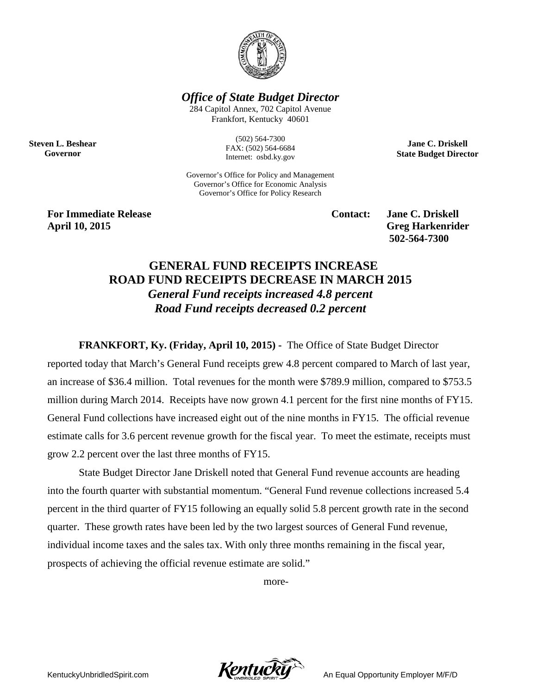

*Office of State Budget Director*

284 Capitol Annex, 702 Capitol Avenue Frankfort, Kentucky 40601

**Steven L. Beshear Governor**

(502) 564-7300 FAX: (502) 564-6684 Internet: osbd.ky.gov

Governor's Office for Policy and Management Governor's Office for Economic Analysis Governor's Office for Policy Research

**For Immediate Release Contact: Jane C. Driskell April 10, 2015 Greg Harkenrider**

**502-564-7300** 

**Jane C. Driskell State Budget Director**

## **GENERAL FUND RECEIPTS INCREASE ROAD FUND RECEIPTS DECREASE IN MARCH 2015** *General Fund receipts increased 4.8 percent Road Fund receipts decreased 0.2 percent*

**FRANKFORT, Ky. (Friday, April 10, 2015) -** The Office of State Budget Director

reported today that March's General Fund receipts grew 4.8 percent compared to March of last year, an increase of \$36.4 million. Total revenues for the month were \$789.9 million, compared to \$753.5 million during March 2014. Receipts have now grown 4.1 percent for the first nine months of FY15. General Fund collections have increased eight out of the nine months in FY15. The official revenue estimate calls for 3.6 percent revenue growth for the fiscal year. To meet the estimate, receipts must grow 2.2 percent over the last three months of FY15.

State Budget Director Jane Driskell noted that General Fund revenue accounts are heading into the fourth quarter with substantial momentum. "General Fund revenue collections increased 5.4 percent in the third quarter of FY15 following an equally solid 5.8 percent growth rate in the second quarter. These growth rates have been led by the two largest sources of General Fund revenue, individual income taxes and the sales tax. With only three months remaining in the fiscal year, prospects of achieving the official revenue estimate are solid."

more-

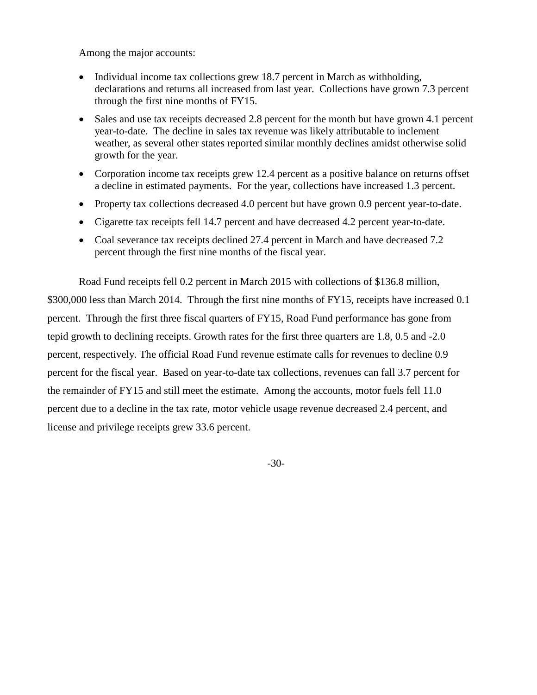Among the major accounts:

- Individual income tax collections grew 18.7 percent in March as withholding, declarations and returns all increased from last year. Collections have grown 7.3 percent through the first nine months of FY15.
- Sales and use tax receipts decreased 2.8 percent for the month but have grown 4.1 percent year-to-date. The decline in sales tax revenue was likely attributable to inclement weather, as several other states reported similar monthly declines amidst otherwise solid growth for the year.
- Corporation income tax receipts grew 12.4 percent as a positive balance on returns offset a decline in estimated payments. For the year, collections have increased 1.3 percent.
- Property tax collections decreased 4.0 percent but have grown 0.9 percent year-to-date.
- Cigarette tax receipts fell 14.7 percent and have decreased 4.2 percent year-to-date.
- Coal severance tax receipts declined 27.4 percent in March and have decreased 7.2 percent through the first nine months of the fiscal year.

Road Fund receipts fell 0.2 percent in March 2015 with collections of \$136.8 million, \$300,000 less than March 2014. Through the first nine months of FY15, receipts have increased 0.1 percent. Through the first three fiscal quarters of FY15, Road Fund performance has gone from tepid growth to declining receipts. Growth rates for the first three quarters are 1.8, 0.5 and -2.0 percent, respectively. The official Road Fund revenue estimate calls for revenues to decline 0.9 percent for the fiscal year. Based on year-to-date tax collections, revenues can fall 3.7 percent for the remainder of FY15 and still meet the estimate. Among the accounts, motor fuels fell 11.0 percent due to a decline in the tax rate, motor vehicle usage revenue decreased 2.4 percent, and license and privilege receipts grew 33.6 percent.

-30-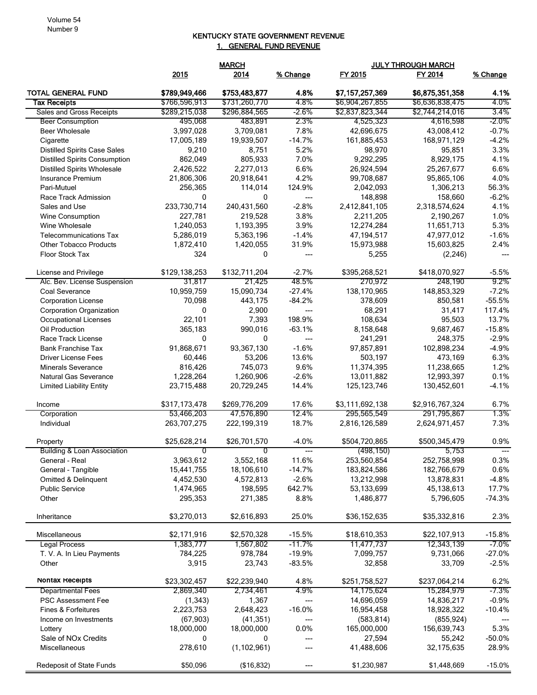## KENTUCKY STATE GOVERNMENT REVENUE 1. GENERAL FUND REVENUE

|                                                          |                   | <b>MARCH</b>      |                  | <b>JULY THROUGH MARCH</b>  |                        |          |
|----------------------------------------------------------|-------------------|-------------------|------------------|----------------------------|------------------------|----------|
|                                                          | 2015              | 2014              | % Change         | FY 2015                    | FY 2014                | % Change |
| <b>TOTAL GENERAL FUND</b>                                | \$789,949,466     | \$753,483,877     | 4.8%             | \$7,157,257,369            | \$6,875,351,358        | 4.1%     |
| <b>Tax Receipts</b>                                      | \$766,596,913     | \$731,260,770     | 4.8%             | \$6,904,267,855            | \$6,636,838,475        | 4.0%     |
| Sales and Gross Receipts                                 | \$289,215,038     | \$296,884,565     | $-2.6\%$         | \$2,837,823,344            | \$2,744,214,016        | 3.4%     |
| <b>Beer Consumption</b>                                  | 495,068           | 483,891           | 2.3%             | 4,525,323                  | 4,616,598              | -2.0%    |
| <b>Beer Wholesale</b>                                    | 3,997,028         | 3,709,081         | 7.8%             | 42,696,675                 | 43,008,412             | $-0.7%$  |
| Cigarette                                                | 17,005,189        | 19,939,507        | $-14.7%$         | 161,885,453                | 168,971,129            | $-4.2%$  |
| <b>Distilled Spirits Case Sales</b>                      | 9,210             | 8,751             | 5.2%             | 98,970                     | 95,851                 | 3.3%     |
| <b>Distilled Spirits Consumption</b>                     | 862,049           | 805,933           | 7.0%             | 9,292,295                  | 8,929,175              | 4.1%     |
| <b>Distilled Spirits Wholesale</b>                       | 2,426,522         | 2,277,013         | 6.6%             | 26,924,594                 | 25,267,677             | 6.6%     |
| Insurance Premium                                        | 21,806,306        | 20,918,641        | 4.2%             | 99,708,687                 | 95,865,106             | 4.0%     |
| Pari-Mutuel                                              | 256,365           | 114,014           | 124.9%           | 2,042,093                  | 1,306,213              | 56.3%    |
| Race Track Admission                                     | 0                 | 0                 | ---              | 148,898                    | 158,660                | $-6.2%$  |
| Sales and Use                                            | 233,730,714       | 240,431,560       | $-2.8%$          | 2,412,841,105              | 2,318,574,624          | 4.1%     |
| <b>Wine Consumption</b>                                  | 227,781           | 219,528           | 3.8%             | 2,211,205                  | 2,190,267              | 1.0%     |
| Wine Wholesale                                           | 1,240,053         | 1,193,395         | 3.9%             | 12,274,284                 | 11,651,713             | 5.3%     |
| <b>Telecommunications Tax</b>                            | 5,286,019         | 5,363,196         | $-1.4%$          | 47, 194, 517               | 47,977,012             | $-1.6%$  |
| <b>Other Tobacco Products</b>                            | 1,872,410<br>324  | 1,420,055         | 31.9%            | 15,973,988                 | 15,603,825             | 2.4%     |
| Floor Stock Tax                                          |                   | 0                 | ---              | 5,255                      | (2, 246)               |          |
| License and Privilege                                    | \$129,138,253     | \$132,711,204     | $-2.7%$          | \$395,268,521              | \$418,070,927          | $-5.5%$  |
| Alc. Bev. License Suspension                             | 31,817            | 21,425            | 48.5%            | 270,972                    | 248,190                | 9.2%     |
| Coal Severance                                           | 10,959,759        | 15,090,734        | $-27.4%$         | 138,170,965                | 148,853,329            | $-7.2%$  |
| <b>Corporation License</b>                               | 70,098            | 443,175           | $-84.2%$         | 378,609                    | 850,581                | $-55.5%$ |
| Corporation Organization                                 | 0                 | 2,900             | $---$            | 68,291                     | 31,417                 | 117.4%   |
| Occupational Licenses                                    | 22,101            | 7,393             | 198.9%           | 108,634                    | 95,503                 | 13.7%    |
| Oil Production                                           | 365,183           | 990,016           | $-63.1%$         | 8,158,648                  | 9,687,467              | $-15.8%$ |
| Race Track License                                       | 0                 | $\mathbf{0}$      | ---              | 241,291                    | 248,375                | $-2.9%$  |
| <b>Bank Franchise Tax</b>                                | 91,868,671        | 93,367,130        | $-1.6%$          | 97,857,891                 | 102,898,234            | $-4.9%$  |
| <b>Driver License Fees</b>                               | 60,446            | 53,206            | 13.6%            | 503,197                    | 473,169                | 6.3%     |
| <b>Minerals Severance</b>                                | 816,426           | 745,073           | 9.6%             | 11,374,395                 | 11,238,665             | 1.2%     |
| Natural Gas Severance                                    | 1,228,264         | 1,260,906         | $-2.6%$          | 13,011,882                 | 12,993,397             | 0.1%     |
| <b>Limited Liability Entity</b>                          | 23,715,488        | 20,729,245        | 14.4%            | 125, 123, 746              | 130,452,601            | $-4.1%$  |
| Income                                                   | \$317,173,478     | \$269,776,209     | 17.6%            | \$3,111,692,138            | \$2,916,767,324        | 6.7%     |
| Corporation                                              | 53,466,203        | 47,576,890        | 12.4%            | 295,565,549                | 291,795,867            | 1.3%     |
| Individual                                               | 263,707,275       | 222,199,319       | 18.7%            | 2,816,126,589              | 2,624,971,457          | 7.3%     |
| Property                                                 | \$25,628,214<br>0 | \$26,701,570<br>0 | $-4.0%$<br>$---$ | \$504,720,865<br>(498,150) | \$500,345,479<br>5,753 | 0.9%     |
| <b>Building &amp; Loan Association</b><br>General - Real | 3,963,612         | 3,552,168         | 11.6%            | 253,560,854                | 252,758,998            | 0.3%     |
| General - Tangible                                       | 15,441,755        | 18,106,610        | $-14.7%$         | 183,824,586                | 182,766,679            | 0.6%     |
| Omitted & Delinquent                                     | 4,452,530         | 4,572,813         | $-2.6%$          | 13,212,998                 | 13,878,831             | $-4.8%$  |
| <b>Public Service</b>                                    | 1,474,965         | 198,595           | 642.7%           | 53,133,699                 | 45,138,613             | 17.7%    |
| Other                                                    | 295,353           | 271,385           | 8.8%             | 1,486,877                  | 5,796,605              | $-74.3%$ |
|                                                          |                   |                   |                  |                            |                        |          |
| Inheritance                                              | \$3,270,013       | \$2,616,893       | 25.0%            | \$36,152,635               | \$35,332,816           | 2.3%     |
| Miscellaneous                                            | \$2,171,916       | \$2,570,328       | $-15.5%$         | \$18,610,353               | \$22,107,913           | $-15.8%$ |
| <b>Legal Process</b>                                     | 1,383,777         | 1,567,802         | $-11.7%$         | 11,477,737                 | 12,343,139             | $-7.0\%$ |
| T. V. A. In Lieu Payments                                | 784,225           | 978,784           | $-19.9%$         | 7,099,757                  | 9,731,066              | $-27.0%$ |
| Other                                                    | 3,915             | 23,743            | $-83.5%$         | 32,858                     | 33,709                 | $-2.5%$  |
| Nontax Receipts                                          | \$23,302,457      | \$22,239,940      | 4.8%             | \$251,758,527              | \$237,064,214          | 6.2%     |
| <b>Departmental Fees</b>                                 | 2,869,340         | 2,734,461         | 4.9%             | 14,175,624                 | 15,284,979             | $-7.3%$  |
| PSC Assessment Fee                                       | (1, 343)          | 1,367             | ---              | 14,696,059                 | 14,836,217             | $-0.9%$  |
| Fines & Forfeitures                                      | 2,223,753         | 2,648,423         | $-16.0%$         | 16,954,458                 | 18,928,322             | $-10.4%$ |
| Income on Investments                                    | (67, 903)         | (41, 351)         | ---              | (583, 814)                 | (855, 924)             |          |
| Lottery                                                  | 18,000,000        | 18,000,000        | 0.0%             | 165,000,000                | 156,639,743            | 5.3%     |
| Sale of NOx Credits                                      | 0                 | 0                 | ---              | 27,594                     | 55,242                 | $-50.0%$ |
| Miscellaneous                                            | 278,610           | (1, 102, 961)     |                  | 41,488,606                 | 32,175,635             | 28.9%    |
| <b>Redeposit of State Funds</b>                          | \$50,096          | (\$16,832)        | ---              | \$1,230,987                | \$1,448,669            | $-15.0%$ |